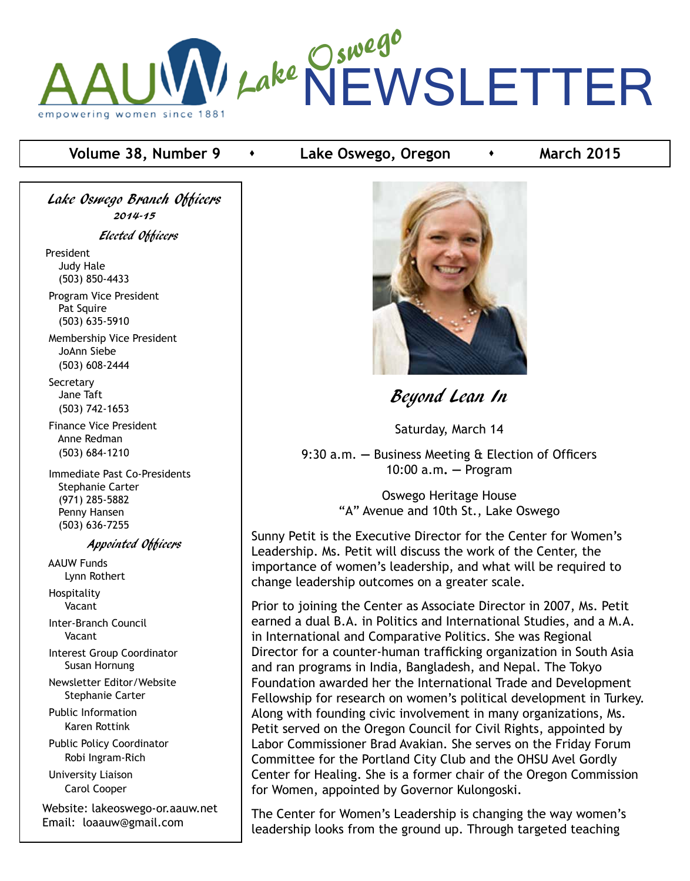

# **Volume 38, Number 9 Conserved Finally Conserved Conserved Conserved Property Conserved Arts March 2015**

Lake Oswego Branch Officers 2014-15 Elected Officers

President Judy Hale (503) 850-4433

 Program Vice President Pat Squire (503) 635-5910

 Membership Vice President JoAnn Siebe (503) 608-2444

**Secretary**  Jane Taft (503) 742-1653

 Finance Vice President Anne Redman (503) 684-1210

 Immediate Past Co-Presidents Stephanie Carter (971) 285-5882 Penny Hansen (503) 636-7255

#### Appointed Officers

 AAUW Funds Lynn Rothert Hospitality

Vacant

 Inter-Branch Council Vacant

 Interest Group Coordinator Susan Hornung

 Newsletter Editor/Website Stephanie Carter

 Public Information Karen Rottink

 Public Policy Coordinator Robi Ingram-Rich

 University Liaison Carol Cooper

Website: lakeoswego-or.aauw.net Email: loaauw@gmail.com



Beyond Lean In

Saturday, March 14

9:30 a.m. **—** Business Meeting & Election of Officers 10:00 a.m**. —** Program

> Oswego Heritage House "A" Avenue and 10th St., Lake Oswego

Sunny Petit is the Executive Director for the Center for Women's Leadership. Ms. Petit will discuss the work of the Center, the importance of women's leadership, and what will be required to change leadership outcomes on a greater scale.

Prior to joining the Center as Associate Director in 2007, Ms. Petit earned a dual B.A. in Politics and International Studies, and a M.A. in International and Comparative Politics. She was Regional Director for a counter-human trafficking organization in South Asia and ran programs in India, Bangladesh, and Nepal. The Tokyo Foundation awarded her the International Trade and Development Fellowship for research on women's political development in Turkey. Along with founding civic involvement in many organizations, Ms. Petit served on the Oregon Council for Civil Rights, appointed by Labor Commissioner Brad Avakian. She serves on the Friday Forum Committee for the Portland City Club and the OHSU Avel Gordly Center for Healing. She is a former chair of the Oregon Commission for Women, appointed by Governor Kulongoski.

The Center for Women's Leadership is changing the way women's leadership looks from the ground up. Through targeted teaching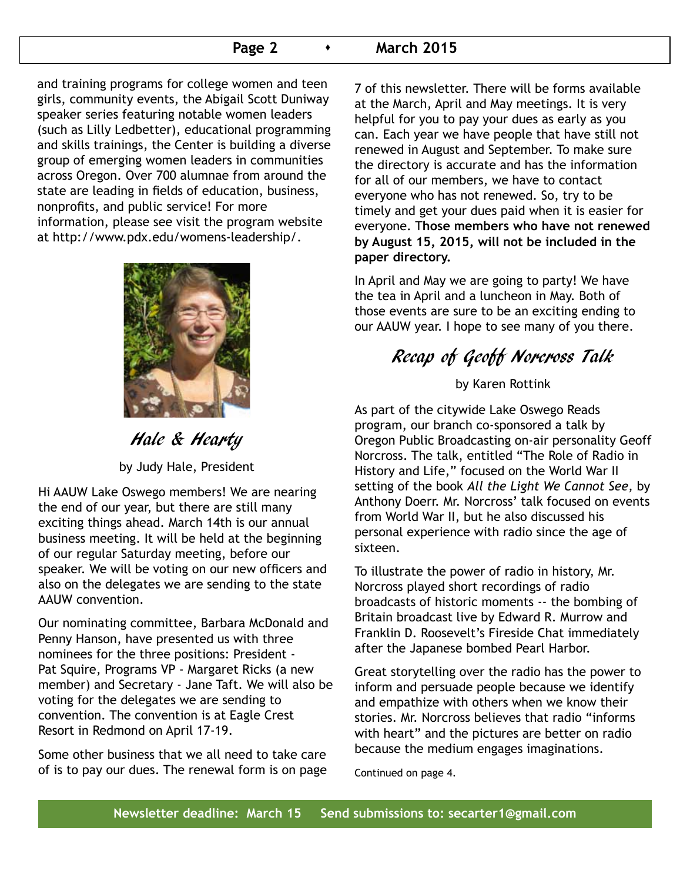## **Page 2 • March 2015**

and training programs for college women and teen girls, community events, the Abigail Scott Duniway speaker series featuring notable women leaders (such as Lilly Ledbetter), educational programming and skills trainings, the Center is building a diverse group of emerging women leaders in communities across Oregon. Over 700 alumnae from around the state are leading in fields of education, business, nonprofits, and public service! For more information, please see visit the program website at http://www.pdx.edu/womens-leadership/.



Hale & Hearty

by Judy Hale, President

Hi AAUW Lake Oswego members! We are nearing the end of our year, but there are still many exciting things ahead. March 14th is our annual business meeting. It will be held at the beginning of our regular Saturday meeting, before our speaker. We will be voting on our new officers and also on the delegates we are sending to the state AAUW convention.

Our nominating committee, Barbara McDonald and Penny Hanson, have presented us with three nominees for the three positions: President - Pat Squire, Programs VP - Margaret Ricks (a new member) and Secretary - Jane Taft. We will also be voting for the delegates we are sending to convention. The convention is at Eagle Crest Resort in Redmond on April 17-19.

Some other business that we all need to take care of is to pay our dues. The renewal form is on page 7 of this newsletter. There will be forms available at the March, April and May meetings. It is very helpful for you to pay your dues as early as you can. Each year we have people that have still not renewed in August and September. To make sure the directory is accurate and has the information for all of our members, we have to contact everyone who has not renewed. So, try to be timely and get your dues paid when it is easier for everyone. T**hose members who have not renewed by August 15, 2015, will not be included in the paper directory.**

In April and May we are going to party! We have the tea in April and a luncheon in May. Both of those events are sure to be an exciting ending to our AAUW year. I hope to see many of you there.

# Recap of Geoff Norcross Talk

by Karen Rottink

As part of the citywide Lake Oswego Reads program, our branch co-sponsored a talk by Oregon Public Broadcasting on-air personality Geoff Norcross. The talk, entitled "The Role of Radio in History and Life," focused on the World War II setting of the book *All the Light We Cannot See,* by Anthony Doerr. Mr. Norcross' talk focused on events from World War II, but he also discussed his personal experience with radio since the age of sixteen.

To illustrate the power of radio in history, Mr. Norcross played short recordings of radio broadcasts of historic moments -- the bombing of Britain broadcast live by Edward R. Murrow and Franklin D. Roosevelt's Fireside Chat immediately after the Japanese bombed Pearl Harbor.

Great storytelling over the radio has the power to inform and persuade people because we identify and empathize with others when we know their stories. Mr. Norcross believes that radio "informs with heart" and the pictures are better on radio because the medium engages imaginations.

Continued on page 4.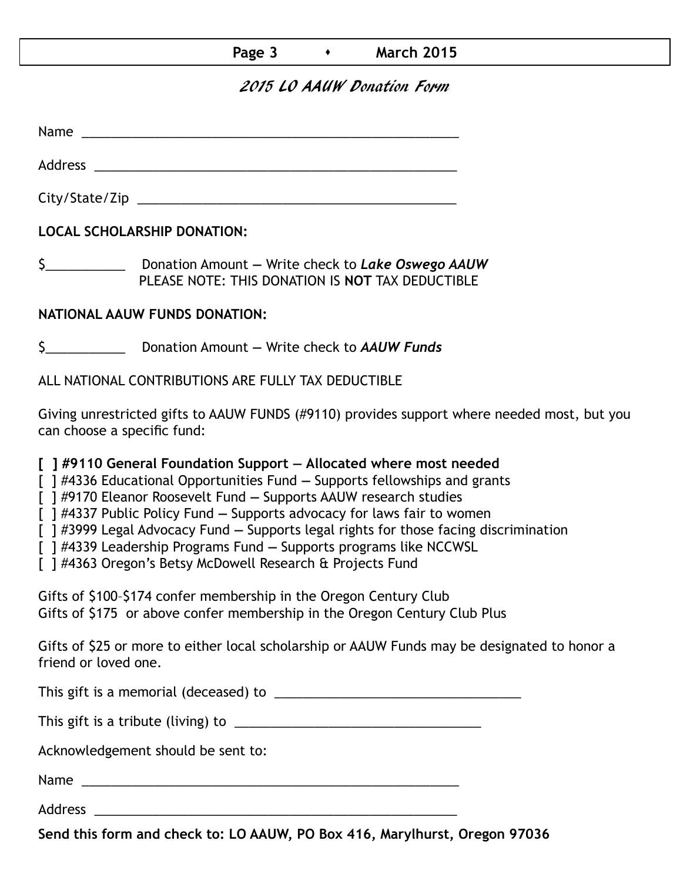# **Page 3 • March 2015**

# 2015 LO AAUW Donation Form

Name was also as  $\sim$  100  $\mu$  and  $\mu$  and  $\mu$  and  $\mu$  and  $\mu$  and  $\mu$  and  $\mu$  and  $\mu$  and  $\mu$  and  $\mu$  and  $\mu$  and  $\mu$  and  $\mu$  and  $\mu$  and  $\mu$  and  $\mu$  and  $\mu$  and  $\mu$  and  $\mu$  and  $\mu$  and  $\mu$  and  $\mu$  an

City/State/Zip 2000 and 2000 and 2000 and 2000 and 2000 and 2000 and 2000 and 2000 and 2000 and 200

Address \_\_\_\_\_\_\_\_\_\_\_\_\_\_\_\_\_\_\_\_\_\_\_\_\_\_\_\_\_\_\_\_\_\_\_\_\_\_\_\_\_\_\_\_\_\_\_\_\_\_

**LOCAL SCHOLARSHIP DONATION:**

\$\_\_\_\_\_\_\_\_\_\_\_ Donation Amount **—** Write check to *Lake Oswego AAUW* PLEASE NOTE: THIS DONATION IS **NOT** TAX DEDUCTIBLE

# **NATIONAL AAUW FUNDS DONATION:**

\$\_\_\_\_\_\_\_\_\_\_\_ Donation Amount **—** Write check to *AAUW Funds*

ALL NATIONAL CONTRIBUTIONS ARE FULLY TAX DEDUCTIBLE

Giving unrestricted gifts to AAUW FUNDS (#9110) provides support where needed most, but you can choose a specific fund:

**[ ] #9110 General Foundation Support — Allocated where most needed** 

[ ] #4336 Educational Opportunities Fund **—** Supports fellowships and grants

[ ] #9170 Eleanor Roosevelt Fund **—** Supports AAUW research studies

[ ] #4337 Public Policy Fund **—** Supports advocacy for laws fair to women

[ ] #3999 Legal Advocacy Fund **—** Supports legal rights for those facing discrimination

[ ] #4339 Leadership Programs Fund **—** Supports programs like NCCWSL

[ ] #4363 Oregon's Betsy McDowell Research & Projects Fund

Gifts of \$100–\$174 confer membership in the Oregon Century Club Gifts of \$175 or above confer membership in the Oregon Century Club Plus

Gifts of \$25 or more to either local scholarship or AAUW Funds may be designated to honor a friend or loved one.

This gift is a memorial (deceased) to \_\_\_\_\_\_\_\_\_\_\_\_\_\_\_\_\_\_\_\_\_\_\_\_\_\_\_\_\_\_\_\_\_\_

This gift is a tribute (living) to \_\_\_\_\_\_\_\_\_\_\_\_\_\_\_\_\_\_\_\_\_\_\_\_\_\_\_\_\_\_\_\_\_\_

Acknowledgement should be sent to:

Name \_\_\_\_\_\_\_\_\_\_\_\_\_\_\_\_\_\_\_\_\_\_\_\_\_\_\_\_\_\_\_\_\_\_\_\_\_\_\_\_\_\_\_\_\_\_\_\_\_\_\_\_

Address \_\_\_\_\_\_\_\_\_\_\_\_\_\_\_\_\_\_\_\_\_\_\_\_\_\_\_\_\_\_\_\_\_\_\_\_\_\_\_\_\_\_\_\_\_\_\_\_\_\_

**Send this form and check to: LO AAUW, PO Box 416, Marylhurst, Oregon 97036**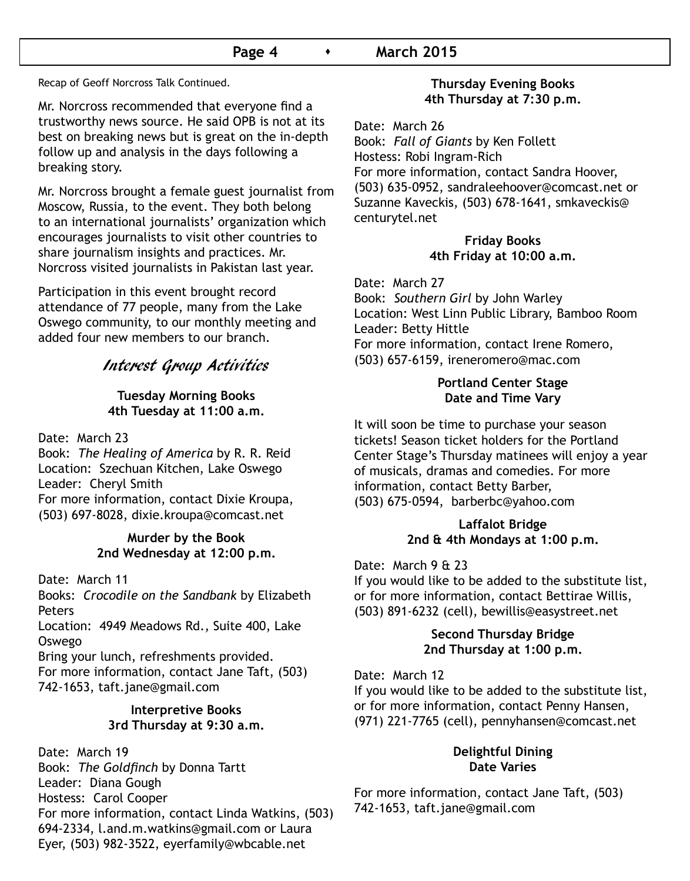## **Page 4 • March 2015**

Recap of Geoff Norcross Talk Continued.

Mr. Norcross recommended that everyone find a trustworthy news source. He said OPB is not at its best on breaking news but is great on the in-depth follow up and analysis in the days following a breaking story.

Mr. Norcross brought a female guest journalist from Moscow, Russia, to the event. They both belong to an international journalists' organization which encourages journalists to visit other countries to share journalism insights and practices. Mr. Norcross visited journalists in Pakistan last year.

Participation in this event brought record attendance of 77 people, many from the Lake Oswego community, to our monthly meeting and added four new members to our branch.

# Interest Group Activities

#### **Tuesday Morning Books 4th Tuesday at 11:00 a.m.**

Date: March 23

Book: *The Healing of America* by R. R. Reid Location: Szechuan Kitchen, Lake Oswego Leader: Cheryl Smith For more information, contact Dixie Kroupa, (503) 697-8028, dixie.kroupa@comcast.net

## **Murder by the Book 2nd Wednesday at 12:00 p.m.**

Date: March 11

Books: *Crocodile on the Sandbank* by Elizabeth Peters

Location: 4949 Meadows Rd., Suite 400, Lake Oswego

Bring your lunch, refreshments provided. For more information, contact Jane Taft, (503) 742-1653, taft.jane@gmail.com

# **Interpretive Books 3rd Thursday at 9:30 a.m.**

Date: March 19 Book: *The Goldfinch* by Donna Tartt Leader: Diana Gough Hostess: Carol Cooper For more information, contact Linda Watkins, (503) 694-2334, l.and.m.watkins@gmail.com or Laura Eyer, (503) 982-3522, eyerfamily@wbcable.net

### **Thursday Evening Books 4th Thursday at 7:30 p.m.**

Date: March 26 Book: *Fall of Giants* by Ken Follett Hostess: Robi Ingram-Rich For more information, contact Sandra Hoover, (503) 635-0952, sandraleehoover@comcast.net or Suzanne Kaveckis, (503) 678-1641, smkaveckis@ centurytel.net

#### **Friday Books 4th Friday at 10:00 a.m.**

Date: March 27 Book: *Southern Girl* by John Warley Location: West Linn Public Library, Bamboo Room Leader: Betty Hittle For more information, contact Irene Romero, (503) 657-6159, ireneromero@mac.com

#### **Portland Center Stage Date and Time Vary**

It will soon be time to purchase your season tickets! Season ticket holders for the Portland Center Stage's Thursday matinees will enjoy a year of musicals, dramas and comedies. For more information, contact Betty Barber, (503) 675-0594, barberbc@yahoo.com

#### **Laffalot Bridge 2nd & 4th Mondays at 1:00 p.m.**

#### Date: March 9 & 23

If you would like to be added to the substitute list, or for more information, contact Bettirae Willis, (503) 891-6232 (cell), bewillis@easystreet.net

## **Second Thursday Bridge 2nd Thursday at 1:00 p.m.**

Date: March 12

If you would like to be added to the substitute list, or for more information, contact Penny Hansen, (971) 221-7765 (cell), pennyhansen@comcast.net

## **Delightful Dining Date Varies**

For more information, contact Jane Taft, (503) 742-1653, taft.jane@gmail.com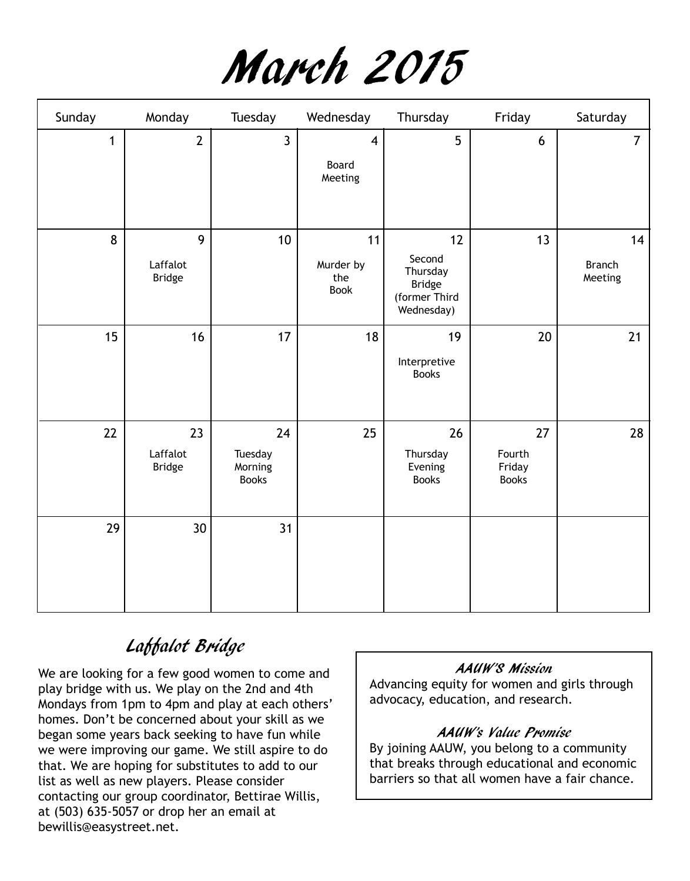

| Sunday       | Monday                          | Tuesday                                  | Wednesday                          | Thursday                                                                 | Friday                                 | Saturday                       |
|--------------|---------------------------------|------------------------------------------|------------------------------------|--------------------------------------------------------------------------|----------------------------------------|--------------------------------|
| $\mathbf{1}$ | $\overline{2}$                  | $\mathbf{3}$                             | $\overline{4}$<br>Board<br>Meeting | 5                                                                        | 6                                      | $\overline{7}$                 |
| 8            | 9<br>Laffalot<br><b>Bridge</b>  | 10                                       | 11<br>Murder by<br>the<br>Book     | 12<br>Second<br>Thursday<br><b>Bridge</b><br>(former Third<br>Wednesday) | 13                                     | 14<br><b>Branch</b><br>Meeting |
| 15           | 16                              | 17                                       | 18                                 | 19<br>Interpretive<br><b>Books</b>                                       | $20\,$                                 | 21                             |
| 22           | 23<br>Laffalot<br><b>Bridge</b> | 24<br>Tuesday<br>Morning<br><b>Books</b> | 25                                 | 26<br>Thursday<br>Evening<br><b>Books</b>                                | 27<br>Fourth<br>Friday<br><b>Books</b> | 28                             |
| 29           | 30 <sup>°</sup>                 | 31                                       |                                    |                                                                          |                                        |                                |

# Laffalot Bridge

We are looking for a few good women to come and play bridge with us. We play on the 2nd and 4th Mondays from 1pm to 4pm and play at each others' homes. Don't be concerned about your skill as we began some years back seeking to have fun while we were improving our game. We still aspire to do that. We are hoping for substitutes to add to our list as well as new players. Please consider contacting our group coordinator, Bettirae Willis, at (503) 635-5057 or drop her an email at bewillis@easystreet.net.

# AAUW'S Mission

Advancing equity for women and girls through advocacy, education, and research.

# AAUW's Value Promise

By joining AAUW, you belong to a community that breaks through educational and economic barriers so that all women have a fair chance.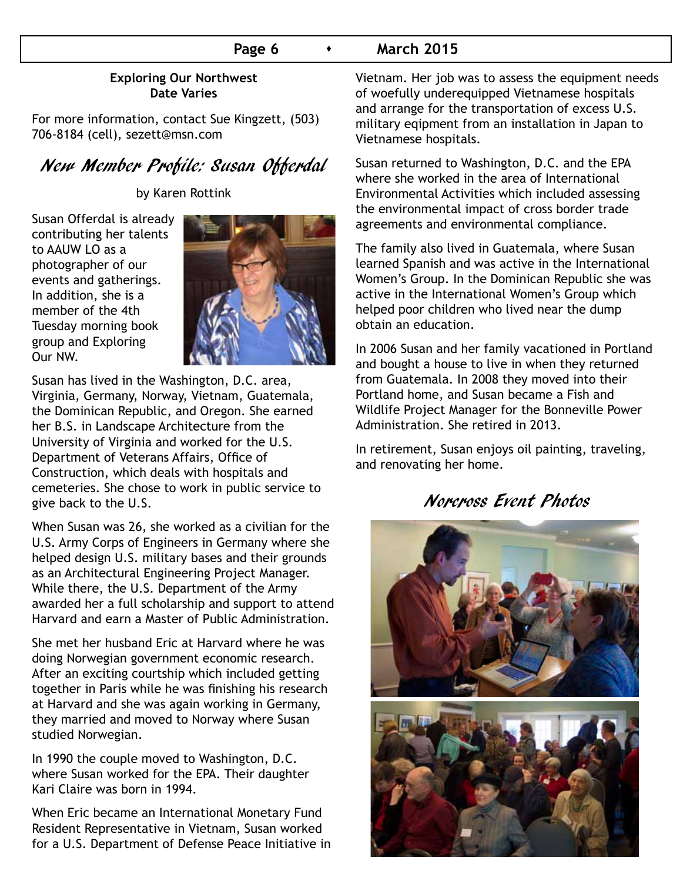# **Page 6**  $\longrightarrow$  **March 2015**

## **Exploring Our Northwest Date Varies**

For more information, contact Sue Kingzett, (503) 706-8184 (cell), sezett@msn.com

# New Member Profile: Susan Offerdal

by Karen Rottink

Susan Offerdal is already contributing her talents to AAUW LO as a photographer of our events and gatherings. In addition, she is a member of the 4th Tuesday morning book group and Exploring Our NW.



Susan has lived in the Washington, D.C. area, Virginia, Germany, Norway, Vietnam, Guatemala, the Dominican Republic, and Oregon. She earned her B.S. in Landscape Architecture from the University of Virginia and worked for the U.S. Department of Veterans Affairs, Office of Construction, which deals with hospitals and cemeteries. She chose to work in public service to give back to the U.S.

When Susan was 26, she worked as a civilian for the U.S. Army Corps of Engineers in Germany where she helped design U.S. military bases and their grounds as an Architectural Engineering Project Manager. While there, the U.S. Department of the Army awarded her a full scholarship and support to attend Harvard and earn a Master of Public Administration.

She met her husband Eric at Harvard where he was doing Norwegian government economic research. After an exciting courtship which included getting together in Paris while he was finishing his research at Harvard and she was again working in Germany, they married and moved to Norway where Susan studied Norwegian.

In 1990 the couple moved to Washington, D.C. where Susan worked for the EPA. Their daughter Kari Claire was born in 1994.

When Eric became an International Monetary Fund Resident Representative in Vietnam, Susan worked for a U.S. Department of Defense Peace Initiative in Vietnam. Her job was to assess the equipment needs of woefully underequipped Vietnamese hospitals and arrange for the transportation of excess U.S. military eqipment from an installation in Japan to Vietnamese hospitals.

Susan returned to Washington, D.C. and the EPA where she worked in the area of International Environmental Activities which included assessing the environmental impact of cross border trade agreements and environmental compliance.

The family also lived in Guatemala, where Susan learned Spanish and was active in the International Women's Group. In the Dominican Republic she was active in the International Women's Group which helped poor children who lived near the dump obtain an education.

In 2006 Susan and her family vacationed in Portland and bought a house to live in when they returned from Guatemala. In 2008 they moved into their Portland home, and Susan became a Fish and Wildlife Project Manager for the Bonneville Power Administration. She retired in 2013.

In retirement, Susan enjoys oil painting, traveling, and renovating her home.

# Norcross Event Photos

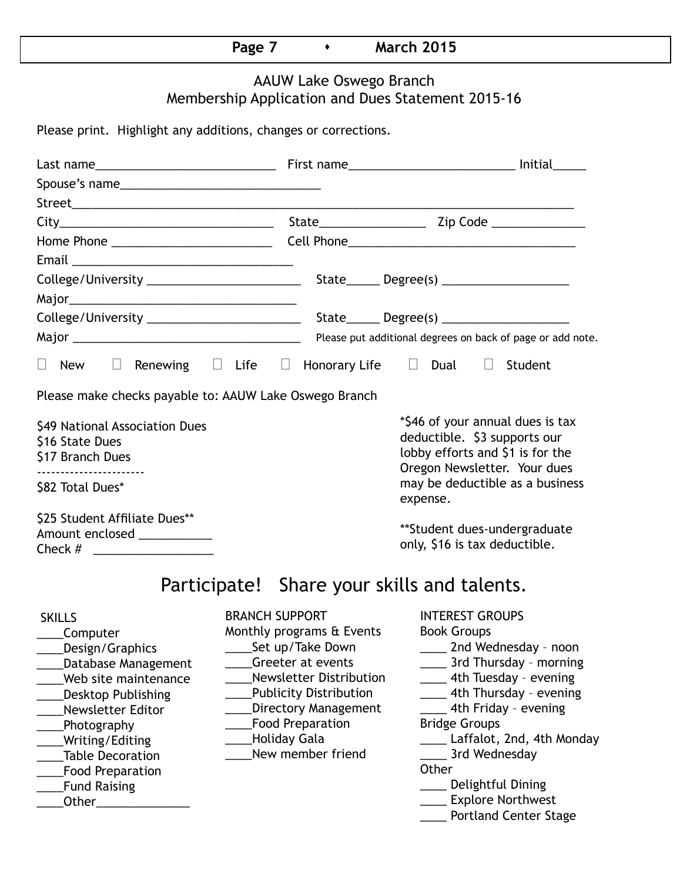|--|

# AAUW Lake Oswego Branch Membership Application and Dues Statement 2015-16

Please print. Highlight any additions, changes or corrections.

| $\Box$ New $\Box$ Renewing $\Box$ Life $\Box$ Honorary Life $\Box$ Dual $\Box$ Student                                                                                                                                                                       |                                                                                                                                                                                                                                                               |                                                                                                                                                                                                                                                                                                                                                        |  |  |
|--------------------------------------------------------------------------------------------------------------------------------------------------------------------------------------------------------------------------------------------------------------|---------------------------------------------------------------------------------------------------------------------------------------------------------------------------------------------------------------------------------------------------------------|--------------------------------------------------------------------------------------------------------------------------------------------------------------------------------------------------------------------------------------------------------------------------------------------------------------------------------------------------------|--|--|
| Please make checks payable to: AAUW Lake Oswego Branch                                                                                                                                                                                                       |                                                                                                                                                                                                                                                               |                                                                                                                                                                                                                                                                                                                                                        |  |  |
| \$49 National Association Dues<br>\$16 State Dues<br>\$17 Branch Dues<br>------------------------                                                                                                                                                            |                                                                                                                                                                                                                                                               | *\$46 of your annual dues is tax<br>deductible. \$3 supports our<br>lobby efforts and \$1 is for the<br>Oregon Newsletter. Your dues<br>may be deductible as a business                                                                                                                                                                                |  |  |
| \$82 Total Dues*                                                                                                                                                                                                                                             |                                                                                                                                                                                                                                                               | expense.                                                                                                                                                                                                                                                                                                                                               |  |  |
| \$25 Student Affiliate Dues**<br>Amount enclosed ____________                                                                                                                                                                                                |                                                                                                                                                                                                                                                               | **Student dues-undergraduate<br>only, \$16 is tax deductible.                                                                                                                                                                                                                                                                                          |  |  |
|                                                                                                                                                                                                                                                              | Participate! Share your skills and talents.                                                                                                                                                                                                                   |                                                                                                                                                                                                                                                                                                                                                        |  |  |
| <b>SKILLS</b><br>Computer<br>Design/Graphics<br>Database Management<br>Web site maintenance<br><b>Desktop Publishing</b><br>Newsletter Editor<br>Photography<br>Writing/Editing<br><b>Table Decoration</b><br><b>Food Preparation</b><br><b>Fund Raising</b> | <b>BRANCH SUPPORT</b><br>Monthly programs & Events<br>Set up/Take Down<br>Greeter at events<br><b>Newsletter Distribution</b><br><b>Publicity Distribution</b><br>Directory Management<br><b>Food Preparation</b><br><b>Holiday Gala</b><br>New member friend | <b>INTEREST GROUPS</b><br><b>Book Groups</b><br>2nd Wednesday - noon<br>____ 3rd Thursday - morning<br>_____ 4th Tuesday - evening<br>____ 4th Thursday - evening<br>4th Friday - evening<br><b>Bridge Groups</b><br>Laffalot, 2nd, 4th Monday<br>3rd Wednesday<br>Other<br>Delightful Dining<br><b>Explore Northwest</b><br>___ Portland Center Stage |  |  |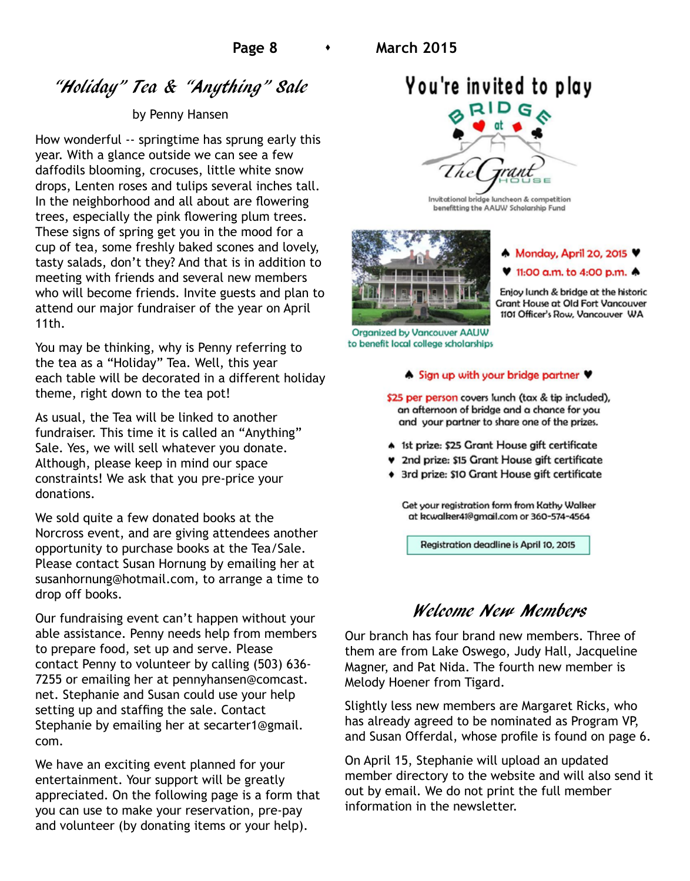# "Holiday" Tea & "Anything" Sale

#### by Penny Hansen

How wonderful -- springtime has sprung early this year. With a glance outside we can see a few daffodils blooming, crocuses, little white snow drops, Lenten roses and tulips several inches tall. In the neighborhood and all about are flowering trees, especially the pink flowering plum trees. These signs of spring get you in the mood for a cup of tea, some freshly baked scones and lovely, tasty salads, don't they? And that is in addition to meeting with friends and several new members who will become friends. Invite guests and plan to attend our major fundraiser of the year on April 11th.

You may be thinking, why is Penny referring to the tea as a "Holiday" Tea. Well, this year each table will be decorated in a different holiday theme, right down to the tea pot!

As usual, the Tea will be linked to another fundraiser. This time it is called an "Anything" Sale. Yes, we will sell whatever you donate. Although, please keep in mind our space constraints! We ask that you pre-price your donations.

We sold quite a few donated books at the Norcross event, and are giving attendees another opportunity to purchase books at the Tea/Sale. Please contact Susan Hornung by emailing her at susanhornung@hotmail.com, to arrange a time to drop off books.

Our fundraising event can't happen without your able assistance. Penny needs help from members to prepare food, set up and serve. Please contact Penny to volunteer by calling (503) 636- 7255 or emailing her at pennyhansen@comcast. net. Stephanie and Susan could use your help setting up and staffing the sale. Contact Stephanie by emailing her at secarter1@gmail. com.

We have an exciting event planned for your entertainment. Your support will be greatly appreciated. On the following page is a form that you can use to make your reservation, pre-pay and volunteer (by donating items or your help).

# You're invited to play



Invitational bridge luncheon & competition benefitting the AAUW Scholarship Fund



Monday, April 20, 2015 V

#### ♥ 11:00 a.m. to 4:00 p.m. ♠

Enjoy lunch & bridge at the historic **Grant House at Old Fort Vancouver** 1101 Officer's Row, Vancouver WA

Organized by Vancouver AAUW to benefit local college scholarships

#### ♦ Sign up with your bridge partner ♥

\$25 per person covers lunch (tax & tip included), an afternoon of bridge and a chance for you and your partner to share one of the prizes.

- \* 1st prize: \$25 Grant House gift certificate
- ♥ 2nd prize: \$15 Grant House gift certificate
- + 3rd prize: \$10 Grant House gift certificate

Get your registration form from Kathy Walker at kcwalker41@gmail.com or 360-574-4564

Registration deadline is April 10, 2015

# Welcome New Members

Our branch has four brand new members. Three of them are from Lake Oswego, Judy Hall, Jacqueline Magner, and Pat Nida. The fourth new member is Melody Hoener from Tigard.

Slightly less new members are Margaret Ricks, who has already agreed to be nominated as Program VP, and Susan Offerdal, whose profile is found on page 6.

On April 15, Stephanie will upload an updated member directory to the website and will also send it out by email. We do not print the full member information in the newsletter.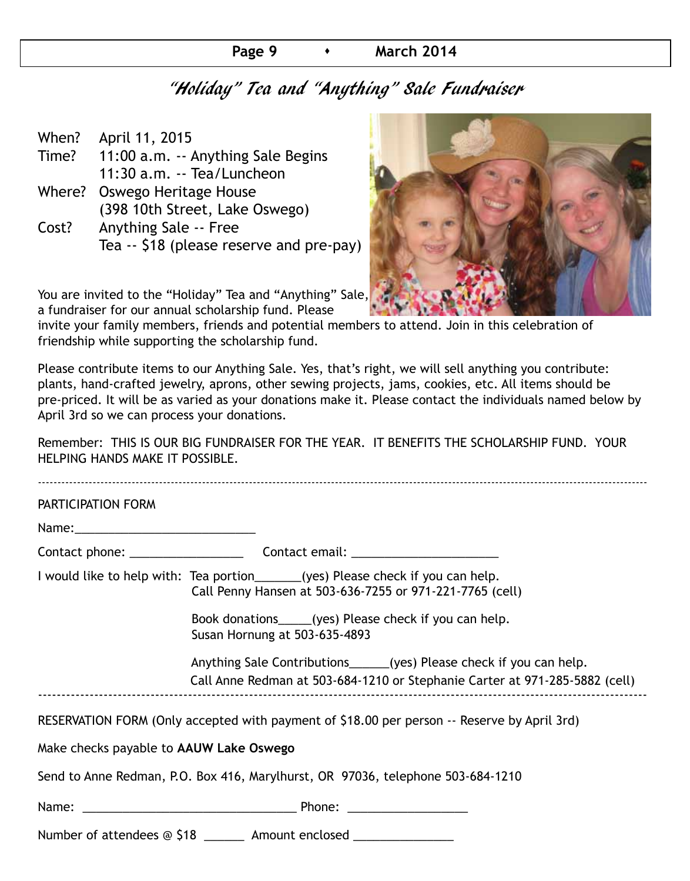## **Page 9 • March 2014**

# "Holiday" Tea and "Anything" Sale Fundraiser

| When? | April 11, 2015                           |
|-------|------------------------------------------|
| Time? | 11:00 a.m. -- Anything Sale Begins       |
|       | 11:30 a.m. -- Tea/Luncheon               |
|       | Where? Oswego Heritage House             |
|       | (398 10th Street, Lake Oswego)           |
| Cost? | <b>Anything Sale -- Free</b>             |
|       | Tea -- \$18 (please reserve and pre-pay) |
|       |                                          |



You are invited to the "Holiday" Tea and "Anything" Sale, a fundraiser for our annual scholarship fund. Please

invite your family members, friends and potential members to attend. Join in this celebration of friendship while supporting the scholarship fund.

Please contribute items to our Anything Sale. Yes, that's right, we will sell anything you contribute: plants, hand-crafted jewelry, aprons, other sewing projects, jams, cookies, etc. All items should be pre-priced. It will be as varied as your donations make it. Please contact the individuals named below by April 3rd so we can process your donations.

Remember: THIS IS OUR BIG FUNDRAISER FOR THE YEAR. IT BENEFITS THE SCHOLARSHIP FUND. YOUR HELPING HANDS MAKE IT POSSIBLE.

| PARTICIPATION FORM                      |                                                                                                                                                     |  |  |  |  |
|-----------------------------------------|-----------------------------------------------------------------------------------------------------------------------------------------------------|--|--|--|--|
|                                         |                                                                                                                                                     |  |  |  |  |
|                                         |                                                                                                                                                     |  |  |  |  |
|                                         | I would like to help with: Tea portion_______(yes) Please check if you can help.<br>Call Penny Hansen at 503-636-7255 or 971-221-7765 (cell)        |  |  |  |  |
|                                         | Book donations_____(yes) Please check if you can help.<br>Susan Hornung at 503-635-4893                                                             |  |  |  |  |
|                                         | Anything Sale Contributions______(yes) Please check if you can help.<br>Call Anne Redman at 503-684-1210 or Stephanie Carter at 971-285-5882 (cell) |  |  |  |  |
|                                         | RESERVATION FORM (Only accepted with payment of \$18.00 per person -- Reserve by April 3rd)                                                         |  |  |  |  |
| Make checks payable to AAUW Lake Oswego |                                                                                                                                                     |  |  |  |  |
|                                         | Send to Anne Redman, P.O. Box 416, Marylhurst, OR 97036, telephone 503-684-1210                                                                     |  |  |  |  |
|                                         |                                                                                                                                                     |  |  |  |  |
|                                         | Number of attendees @ \$18 _______ Amount enclosed ________________                                                                                 |  |  |  |  |